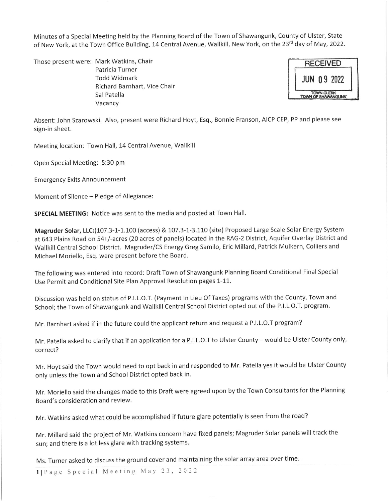Minutes of a Special Meeting held by the Planning Board of the Town of Shawangunk, County of Ulster, State of New York, at the Town Office Building, 14 Central Avenue, Wallkill, New York, on the 23<sup>rd</sup> day of May, 2022.

Those present were: Mark Watkins, Chair Patricia Turner Todd Widmark Richard Barnhart, Vice Chair 5al Patella Vacancy

Absent: John Szarowski. Also, present were Richard Hoyt, Esq., Bonnie Franson, AlcP CEP, PP and please see sign-in sheet.

Meeting location: Town Hall, 14 Central Avenue, Wallkill

Open Special Meeting: 5:30 pm

**Emergency Exits Announcement** 

Moment of Silence - Pledge of Allegiance:

SPECIAL MEETING: Notice was sent to the media and posted at Town Hall.

Magruder Solar, LLC:(107.3-1-1.100 (access) & 107.3-1-3.110 (site) Proposed Large Scale Solar Energy System at 643 Plains Road on 54+/-acres (20 acres of panels) located in the RAG-2 District, Aquifer Overlay District and Wallkill Central School District. Magruder/CS Energy Greg Samilo, Eric Millard, Patrick Mulkern, Colliers and Michael Moriello, Esq. were present before the Board.

The following was entered into record: Draft Town of Shawangunk Planning Board Conditional Final Special Use Permit and Conditional Site Plan Approval Resolution pages 1-11.

Discussion was held on status of P.I.L.O.T. (Payment In Lieu Of Taxes) programs with the County, Town and School; the Town of Shawangunk and Wallkill Central School District opted out of the P.I.L.O.T. program.

Mr. Barnhart asked if in the future could the applicant return and request a P.I.L.O.T program?

Mr. Patella asked to clarify that if an application for a P.I.L.O.T to Ulster County - would be Ulster County only, correct?

Mr. Hoyt said the Town would need to opt back in and responded to Mr. Patella yes it would be Ulster County only unless the Town and School District opted back in.

Mr. Moriello said the changes made to this Draft were agreed upon by the Town Consultants for the Planning Board's consideration and review.

Mr. Watkins asked what could be accomplished if future glare potentially is seen from the road?

Mr. Millard said the project of Mr. Watkins concern have fixed panels; Magruder Solar panels will track the sun; and there is a lot less glare with tracking systems.

Ms. Turner asked to discuss the ground cover and maintaining the solar array area over time.

1| Page Special Meeting May 23, 2022